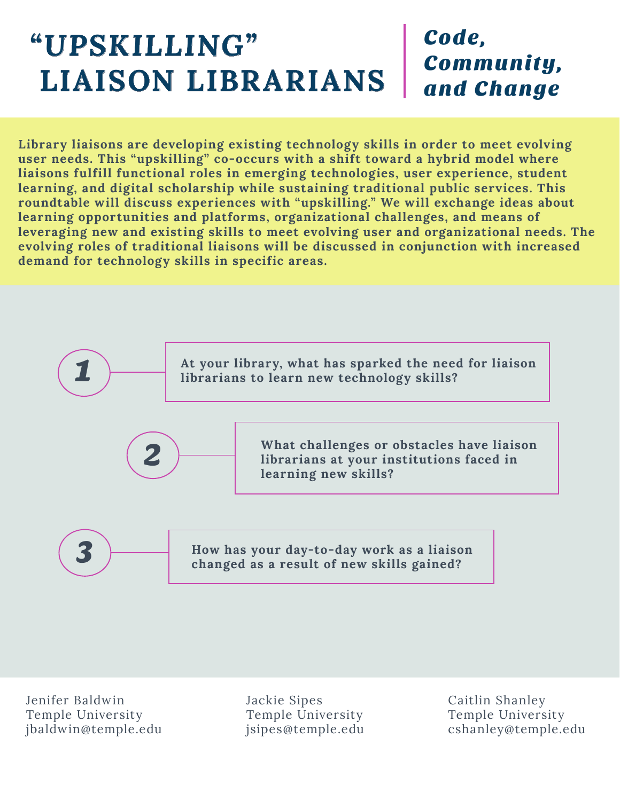# *"UPSKILLING"*  **LIAISON LIBRARIANS**

### Code, Community, and Change

**Library liaisons are developing existing technology skills in order to meet evolving user needs. This "upskilling" co-occurs with a shift toward a hybrid model where liaisons fulfill functional roles in emerging technologies, user experience, student learning, and digital scholarship while sustaining traditional public services. This roundtable will discuss experiences with "upskilling." We will exchange ideas about learning opportunities and platforms, organizational challenges, and means of leveraging new and existing skills to meet evolving user and organizational needs. The evolving roles of traditional liaisons will be discussed in conjunction with increased demand for technology skills in specific areas.** 



Jenifer Baldwin Temple University jbaldwin@temple.edu

Jackie Sipes Temple University jsipes@temple.edu

Caitlin Shanley Temple University cshanley@temple.edu